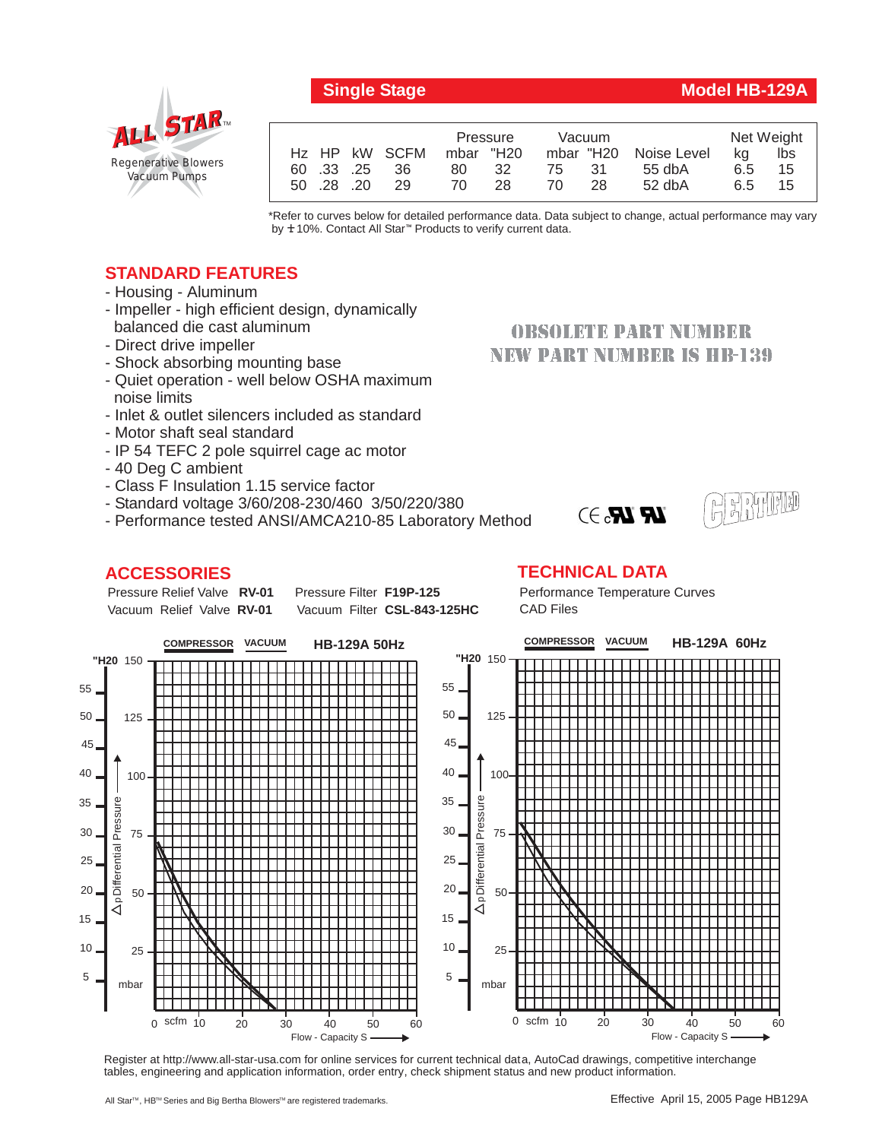**Single Stage Model HB-129A**

# *Regenerative Blowers Vacuum Pumps* ALL STAR

|                  | Pressure  | Vacuum     |                       | Net Weight |     |
|------------------|-----------|------------|-----------------------|------------|-----|
| Hz HP kW SCFM    | mbar "H20 |            | mbar "H20 Noise Level | ka         | lbs |
| 60 .33 .25<br>36 | 32<br>80  | -31<br>75. | $55$ db $A$           | 6.5        | 15  |
| 29<br>50 .28 .20 | 70<br>28  | 28<br>70   | $52$ dbA              | 6.5        | 15  |
|                  |           |            |                       |            |     |

\*Refer to curves below for detailed performance data. Data subject to change, actual performance may vary by **+**10%. Contact All Star<sup>™</sup> Products to verify current data.

## **STANDARD FEATURES**

- Housing Aluminum
- Impeller high efficient design, dynamically balanced die cast aluminum
- Direct drive impeller
- Shock absorbing mounting base
- Quiet operation well below OSHA maximum noise limits
- Inlet & outlet silencers included as standard
- Motor shaft seal standard
- IP 54 TEFC 2 pole squirrel cage ac motor
- 40 Deg C ambient
- Class F Insulation 1.15 service factor
- Standard voltage 3/60/208-230/460 3/50/220/380
- Performance tested ANSI/AMCA210-85 Laboratory Method

### **ACCESSORIES**

Pressure Relief Valve RV-01 Vacuum Relief Valve RV-01

**Pressure Filter F19P-125** Vacuum Filter CSL-843-125HC

## **OBSOLETE PART NUMBER NEW PART NUMBER IS HB-139**



**TECHNICAL DATA**

Performance Temperature Curves CAD Files

 $\mathbf{R}$   $\mathbf{R}$   $\rightarrow$ 



Register at http://www.all-star-usa.com for online services for current technical data, AutoCad drawings, competitive interchange tables, engineering and application information, order entry, check shipment status and new product information.